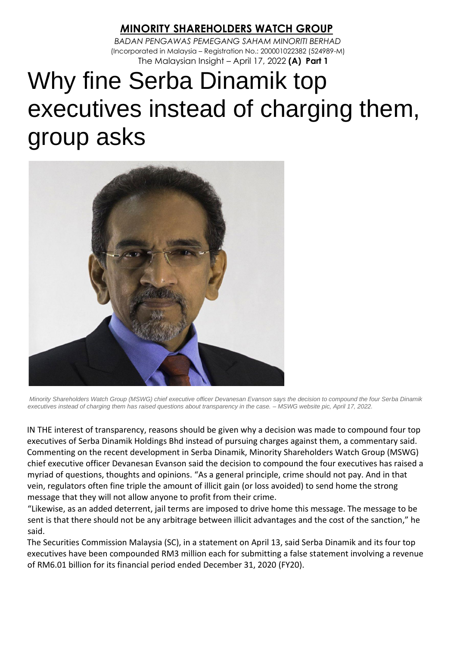## *M***INORITY SHAREHOLDERS WATCH GROUP**

*BADAN PENGAWAS PEMEGANG SAHAM MINORITI BERHAD*  (Incorporated in Malaysia – Registration No.: 200001022382 (524989-M) The Malaysian Insight – April 17, 2022 **(A) Part 1**

## Why fine Serba Dinamik top executives instead of charging them, group asks



*Minority Shareholders Watch Group (MSWG) chief executive officer Devanesan Evanson says the decision to compound the four Serba Dinamik executives instead of charging them has raised questions about transparency in the case. – MSWG website pic, April 17, 2022.* 

IN THE interest of transparency, reasons should be given why a decision was made to compound four top executives of Serba Dinamik Holdings Bhd instead of pursuing charges against them, a commentary said. Commenting on the recent development in Serba Dinamik, Minority Shareholders Watch Group (MSWG) chief executive officer Devanesan Evanson said the decision to compound the four executives has raised a myriad of questions, thoughts and opinions. "As a general principle, crime should not pay. And in that vein, regulators often fine triple the amount of illicit gain (or loss avoided) to send home the strong message that they will not allow anyone to profit from their crime.

"Likewise, as an added deterrent, jail terms are imposed to drive home this message. The message to be sent is that there should not be any arbitrage between illicit advantages and the cost of the sanction," he said.

The Securities Commission Malaysia (SC), in a statement on April 13, said Serba Dinamik and its four top executives have been compounded RM3 million each for submitting a false statement involving a revenue of RM6.01 billion for its financial period ended December 31, 2020 (FY20).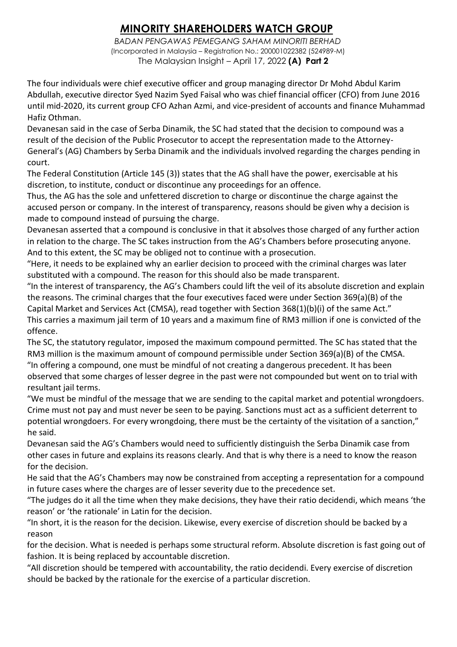## *M***INORITY SHAREHOLDERS WATCH GROUP**

*BADAN PENGAWAS PEMEGANG SAHAM MINORITI BERHAD*  (Incorporated in Malaysia – Registration No.: 200001022382 (524989-M) The Malaysian Insight – April 17, 2022 **(A) Part 2**

The four individuals were chief executive officer and group managing director Dr Mohd Abdul Karim Abdullah, executive director Syed Nazim Syed Faisal who was chief financial officer (CFO) from June 2016 until mid-2020, its current group CFO Azhan Azmi, and vice-president of accounts and finance Muhammad Hafiz Othman.

Devanesan said in the case of Serba Dinamik, the SC had stated that the decision to compound was a result of the decision of the Public Prosecutor to accept the representation made to the Attorney-General's (AG) Chambers by Serba Dinamik and the individuals involved regarding the charges pending in court.

The Federal Constitution (Article 145 (3)) states that the AG shall have the power, exercisable at his discretion, to institute, conduct or discontinue any proceedings for an offence.

Thus, the AG has the sole and unfettered discretion to charge or discontinue the charge against the accused person or company. In the interest of transparency, reasons should be given why a decision is made to compound instead of pursuing the charge.

Devanesan asserted that a compound is conclusive in that it absolves those charged of any further action in relation to the charge. The SC takes instruction from the AG's Chambers before prosecuting anyone. And to this extent, the SC may be obliged not to continue with a prosecution.

"Here, it needs to be explained why an earlier decision to proceed with the criminal charges was later substituted with a compound. The reason for this should also be made transparent.

"In the interest of transparency, the AG's Chambers could lift the veil of its absolute discretion and explain the reasons. The criminal charges that the four executives faced were under Section 369(a)(B) of the Capital Market and Services Act (CMSA), read together with Section 368(1)(b)(i) of the same Act." This carries a maximum jail term of 10 years and a maximum fine of RM3 million if one is convicted of the offence.

The SC, the statutory regulator, imposed the maximum compound permitted. The SC has stated that the RM3 million is the maximum amount of compound permissible under Section 369(a)(B) of the CMSA. "In offering a compound, one must be mindful of not creating a dangerous precedent. It has been observed that some charges of lesser degree in the past were not compounded but went on to trial with resultant jail terms.

"We must be mindful of the message that we are sending to the capital market and potential wrongdoers. Crime must not pay and must never be seen to be paying. Sanctions must act as a sufficient deterrent to potential wrongdoers. For every wrongdoing, there must be the certainty of the visitation of a sanction," he said.

Devanesan said the AG's Chambers would need to sufficiently distinguish the Serba Dinamik case from other cases in future and explains its reasons clearly. And that is why there is a need to know the reason for the decision.

He said that the AG's Chambers may now be constrained from accepting a representation for a compound in future cases where the charges are of lesser severity due to the precedence set.

"The judges do it all the time when they make decisions, they have their ratio decidendi, which means 'the reason' or 'the rationale' in Latin for the decision.

"In short, it is the reason for the decision. Likewise, every exercise of discretion should be backed by a reason

for the decision. What is needed is perhaps some structural reform. Absolute discretion is fast going out of fashion. It is being replaced by accountable discretion.

"All discretion should be tempered with accountability, the ratio decidendi. Every exercise of discretion should be backed by the rationale for the exercise of a particular discretion.